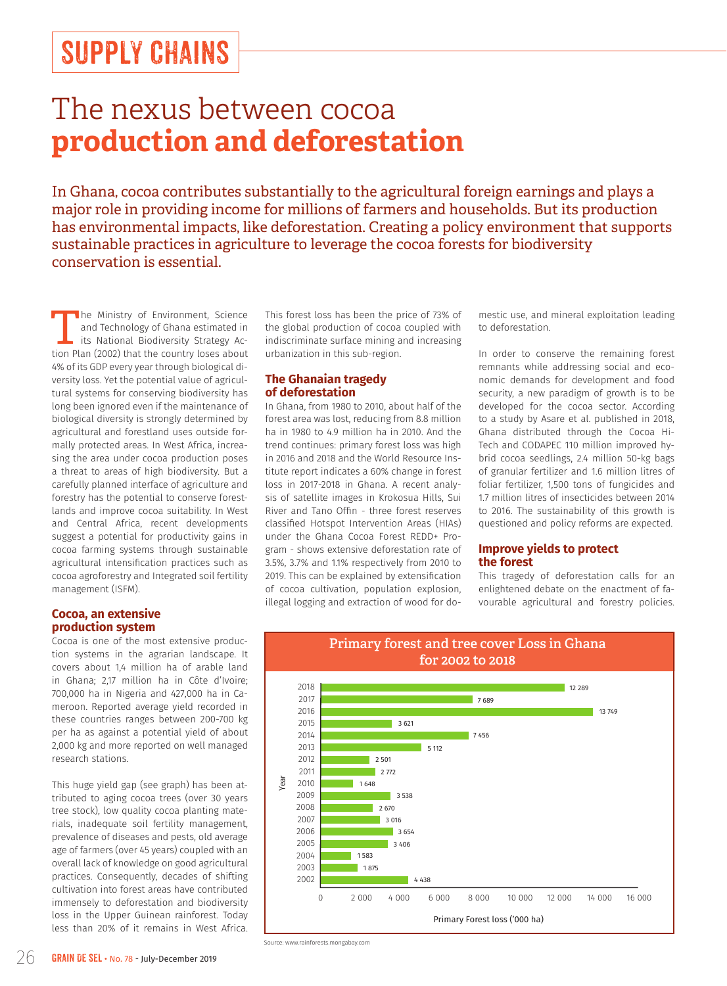# SUPPLY CHAINS

## The nexus between cocoa **production and deforestation**

In Ghana, cocoa contributes substantially to the agricultural foreign earnings and plays a major role in providing income for millions of farmers and households. But its production has environmental impacts, like deforestation. Creating a policy environment that supports sustainable practices in agriculture to leverage the cocoa forests for biodiversity conservation is essential.

The Ministry of Environment, Science and Technology of Ghana estimated in its National Biodiversity Strategy Action Plan (2002) that the country loses about 4% of its GDP every year through biological diversity loss. Yet the potential value of agricultural systems for conserving biodiversity has long been ignored even if the maintenance of biological diversity is strongly determined by agricultural and forestland uses outside formally protected areas. In West Africa, increasing the area under cocoa production poses a threat to areas of high biodiversity. But a carefully planned interface of agriculture and forestry has the potential to conserve forestlands and improve cocoa suitability. In West and Central Africa, recent developments suggest a potential for productivity gains in cocoa farming systems through sustainable agricultural intensification practices such as cocoa agroforestry and Integrated soil fertility management (ISFM).

#### **Cocoa, an extensive production system**

Cocoa is one of the most extensive production systems in the agrarian landscape. It covers about 1,4 million ha of arable land in Ghana; 2,17 million ha in Côte d'Ivoire; 700,000 ha in Nigeria and 427,000 ha in Cameroon. Reported average yield recorded in these countries ranges between 200-700 kg per ha as against a potential yield of about 2,000 kg and more reported on well managed research stations.

This huge yield gap (see graph) has been attributed to aging cocoa trees (over 30 years tree stock), low quality cocoa planting materials, inadequate soil fertility management, prevalence of diseases and pests, old average age of farmers (over 45 years) coupled with an overall lack of knowledge on good agricultural practices. Consequently, decades of shifting cultivation into forest areas have contributed immensely to deforestation and biodiversity loss in the Upper Guinean rainforest. Today less than 20% of it remains in West Africa.

This forest loss has been the price of 73% of the global production of cocoa coupled with indiscriminate surface mining and increasing urbanization in this sub-region.

### **The Ghanaian tragedy of deforestation**

In Ghana, from 1980 to 2010, about half of the forest area was lost, reducing from 8.8 million ha in 1980 to 4.9 million ha in 2010. And the trend continues: primary forest loss was high in 2016 and 2018 and the World Resource Institute report indicates a 60% change in forest loss in 2017-2018 in Ghana. A recent analysis of satellite images in Krokosua Hills, Sui River and Tano Offin - three forest reserves classified Hotspot Intervention Areas (HIAs) under the Ghana Cocoa Forest REDD+ Program - shows extensive deforestation rate of 3.5%, 3.7% and 1.1% respectively from 2010 to 2019. This can be explained by extensification of cocoa cultivation, population explosion, illegal logging and extraction of wood for do-

mestic use, and mineral exploitation leading to deforestation.

In order to conserve the remaining forest remnants while addressing social and economic demands for development and food security, a new paradigm of growth is to be developed for the cocoa sector. According to a study by Asare et al. published in 2018, Ghana distributed through the Cocoa Hi-Tech and CODAPEC 110 million improved hybrid cocoa seedlings, 2.4 million 50-kg bags of granular fertilizer and 1.6 million litres of foliar fertilizer, 1,500 tons of fungicides and 1.7 million litres of insecticides between 2014 to 2016. The sustainability of this growth is questioned and policy reforms are expected.

#### **Improve yields to protect the forest**

This tragedy of deforestation calls for an enlightened debate on the enactment of favourable agricultural and forestry policies.



**Primary forest and tree cover Loss in Ghana** 

Source: www.rainforests.mongabay.com